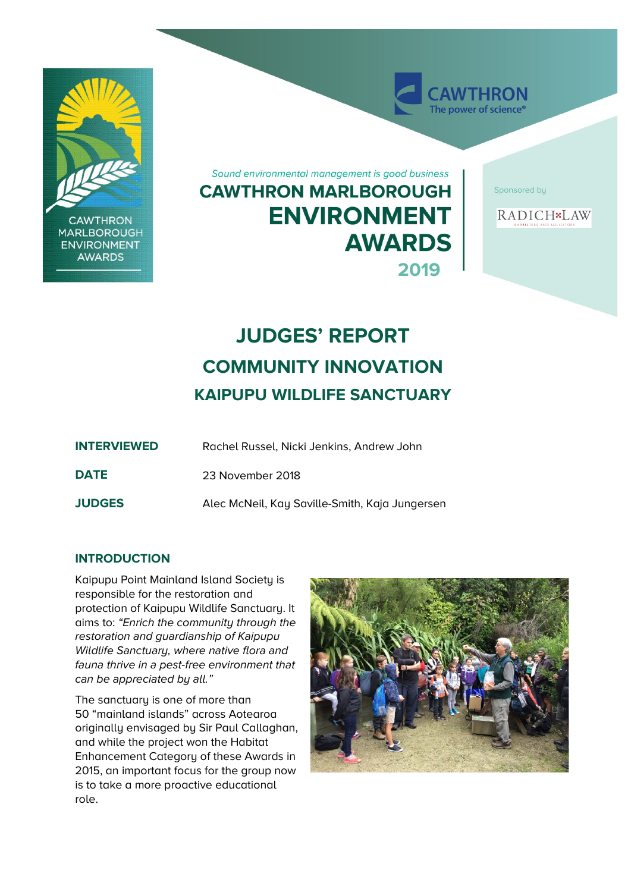

**CAWTHRON MARLBOROUGH ENVIRONMENT AWARDS** 

Sound environmental management is good business **CAWTHRON MARLBOROUGH ENVIRONMENT AWARDS 2019**

Sponsored by

**AWTHRON** The power of science<sup>®</sup>



# **JUDGES' REPORT COMMUNITY INNOVATION KAIPUPU WILDLIFE SANCTUARY**

| <b>INTERVIEWED</b> | Rachel Russel, Nicki Jenkins, Andrew John      |
|--------------------|------------------------------------------------|
| <b>DATE</b>        | 23 November 2018                               |
| <b>JUDGES</b>      | Alec McNeil, Kay Saville-Smith, Kaja Jungersen |

# **INTRODUCTION**

Kaipupu Point Mainland Island Society is responsible for the restoration and protection of Kaipupu Wildlife Sanctuary. It aims to: "Enrich the community through the restoration and guardianship of Kaipupu Wildlife Sanctuary, where native flora and fauna thrive in a pest-free environment that can be appreciated by all."

The sanctuary is one of more than 50 "mainland islands" across Aotearoa originally envisaged by Sir Paul Callaghan, and while the project won the Habitat Enhancement Category of these Awards in 2015, an important focus for the group now is to take a more proactive educational role.

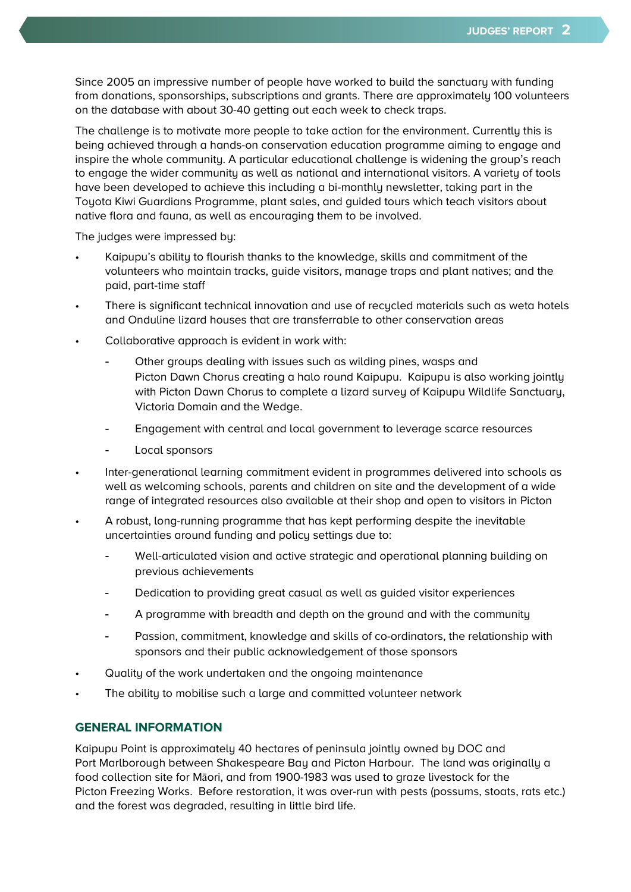Since 2005 an impressive number of people have worked to build the sanctuary with funding from donations, sponsorships, subscriptions and grants. There are approximately 100 volunteers on the database with about 30-40 getting out each week to check traps.

The challenge is to motivate more people to take action for the environment. Currently this is being achieved through a hands-on conservation education programme aiming to engage and inspire the whole community. A particular educational challenge is widening the group's reach to engage the wider community as well as national and international visitors. A variety of tools have been developed to achieve this including a bi-monthly newsletter, taking part in the Toyota Kiwi Guardians Programme, plant sales, and guided tours which teach visitors about native flora and fauna, as well as encouraging them to be involved.

The judges were impressed by:

- Kaipupu's ability to flourish thanks to the knowledge, skills and commitment of the volunteers who maintain tracks, guide visitors, manage traps and plant natives; and the paid, part-time staff
- There is significant technical innovation and use of recycled materials such as weta hotels and Onduline lizard houses that are transferrable to other conservation areas
- Collaborative approach is evident in work with:
	- Other groups dealing with issues such as wilding pines, wasps and Picton Dawn Chorus creating a halo round Kaipupu. Kaipupu is also working jointly with Picton Dawn Chorus to complete a lizard survey of Kaipupu Wildlife Sanctuary, Victoria Domain and the Wedge.
	- Engagement with central and local government to leverage scarce resources
	- Local sponsors
- Inter-generational learning commitment evident in programmes delivered into schools as well as welcoming schools, parents and children on site and the development of a wide range of integrated resources also available at their shop and open to visitors in Picton
- A robust, long-running programme that has kept performing despite the inevitable uncertainties around funding and policy settings due to:
	- Well-articulated vision and active strategic and operational planning building on previous achievements
	- Dedication to providing great casual as well as guided visitor experiences
	- A programme with breadth and depth on the ground and with the community
	- Passion, commitment, knowledge and skills of co-ordinators, the relationship with sponsors and their public acknowledgement of those sponsors
- Quality of the work undertaken and the ongoing maintenance
- The ability to mobilise such a large and committed volunteer network

## **GENERAL INFORMATION**

Kaipupu Point is approximately 40 hectares of peninsula jointly owned by DOC and Port Marlborough between Shakespeare Bay and Picton Harbour. The land was originally a food collection site for Māori, and from 1900-1983 was used to graze livestock for the Picton Freezing Works. Before restoration, it was over-run with pests (possums, stoats, rats etc.) and the forest was degraded, resulting in little bird life.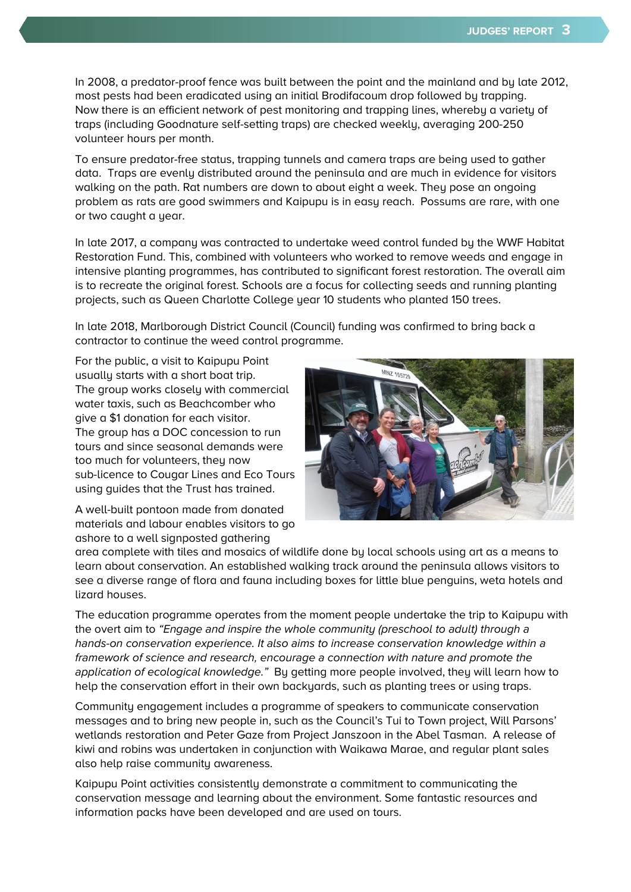In 2008, a predator-proof fence was built between the point and the mainland and by late 2012, most pests had been eradicated using an initial Brodifacoum drop followed by trapping. Now there is an efficient network of pest monitoring and trapping lines, whereby a variety of traps (including Goodnature self-setting traps) are checked weekly, averaging 200-250 volunteer hours per month.

To ensure predator-free status, trapping tunnels and camera traps are being used to gather data. Traps are evenly distributed around the peninsula and are much in evidence for visitors walking on the path. Rat numbers are down to about eight a week. They pose an ongoing problem as rats are good swimmers and Kaipupu is in easy reach. Possums are rare, with one or two caught a year.

In late 2017, a company was contracted to undertake weed control funded by the WWF Habitat Restoration Fund. This, combined with volunteers who worked to remove weeds and engage in intensive planting programmes, has contributed to significant forest restoration. The overall aim is to recreate the original forest. Schools are a focus for collecting seeds and running planting projects, such as Queen Charlotte College year 10 students who planted 150 trees.

In late 2018, Marlborough District Council (Council) funding was confirmed to bring back a contractor to continue the weed control programme.

For the public, a visit to Kaipupu Point usually starts with a short boat trip. The group works closely with commercial water taxis, such as Beachcomber who give a \$1 donation for each visitor. The group has a DOC concession to run tours and since seasonal demands were too much for volunteers, they now sub-licence to Cougar Lines and Eco Tours using guides that the Trust has trained.

A well-built pontoon made from donated materials and labour enables visitors to go ashore to a well signposted gathering



area complete with tiles and mosaics of wildlife done by local schools using art as a means to learn about conservation. An established walking track around the peninsula allows visitors to see a diverse range of flora and fauna including boxes for little blue penguins, weta hotels and lizard houses.

The education programme operates from the moment people undertake the trip to Kaipupu with the overt aim to "Engage and inspire the whole community (preschool to adult) through a hands-on conservation experience. It also aims to increase conservation knowledge within a framework of science and research, encourage a connection with nature and promote the application of ecological knowledge." By getting more people involved, they will learn how to help the conservation effort in their own backyards, such as planting trees or using traps.

Community engagement includes a programme of speakers to communicate conservation messages and to bring new people in, such as the Council's Tui to Town project, Will Parsons' wetlands restoration and Peter Gaze from Project Janszoon in the Abel Tasman. A release of kiwi and robins was undertaken in conjunction with Waikawa Marae, and regular plant sales also help raise community awareness.

Kaipupu Point activities consistently demonstrate a commitment to communicating the conservation message and learning about the environment. Some fantastic resources and information packs have been developed and are used on tours.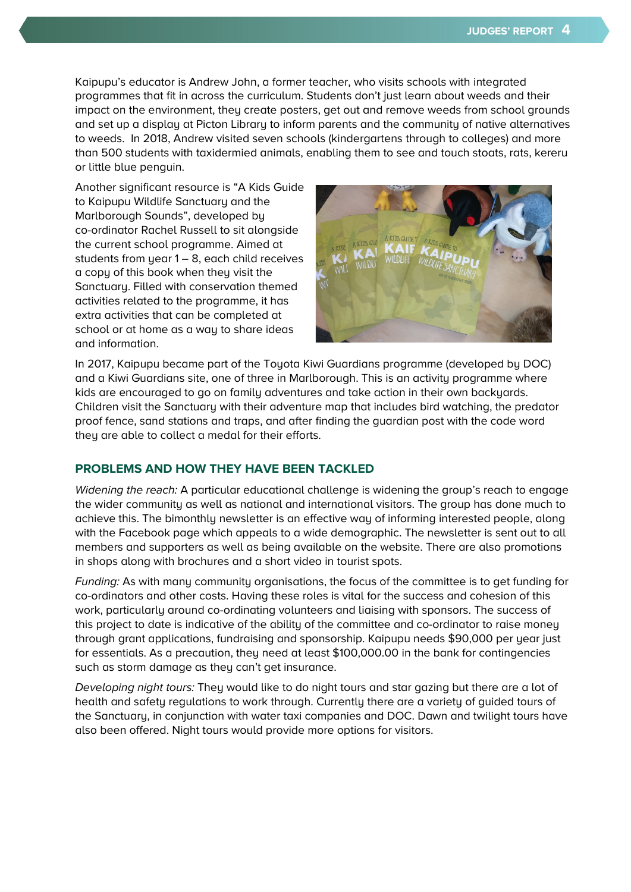Kaipupu's educator is Andrew John, a former teacher, who visits schools with integrated programmes that fit in across the curriculum. Students don't just learn about weeds and their impact on the environment, they create posters, get out and remove weeds from school grounds and set up a display at Picton Library to inform parents and the community of native alternatives to weeds. In 2018, Andrew visited seven schools (kindergartens through to colleges) and more than 500 students with taxidermied animals, enabling them to see and touch stoats, rats, kereru or little blue penguin.

Another significant resource is "A Kids Guide to Kaipupu Wildlife Sanctuary and the Marlborough Sounds", developed by co-ordinator Rachel Russell to sit alongside the current school programme. Aimed at students from year 1 – 8, each child receives a copy of this book when they visit the Sanctuary. Filled with conservation themed activities related to the programme, it has extra activities that can be completed at school or at home as a way to share ideas and information.



In 2017, Kaipupu became part of the Toyota Kiwi Guardians programme (developed by DOC) and a Kiwi Guardians site, one of three in Marlborough. This is an activity programme where kids are encouraged to go on family adventures and take action in their own backyards. Children visit the Sanctuary with their adventure map that includes bird watching, the predator proof fence, sand stations and traps, and after finding the guardian post with the code word they are able to collect a medal for their efforts.

### **PROBLEMS AND HOW THEY HAVE BEEN TACKLED**

Widening the reach: A particular educational challenge is widening the group's reach to engage the wider community as well as national and international visitors. The group has done much to achieve this. The bimonthly newsletter is an effective way of informing interested people, along with the Facebook page which appeals to a wide demographic. The newsletter is sent out to all members and supporters as well as being available on the website. There are also promotions in shops along with brochures and a short video in tourist spots.

Funding: As with many community organisations, the focus of the committee is to get funding for co-ordinators and other costs. Having these roles is vital for the success and cohesion of this work, particularly around co-ordinating volunteers and liaising with sponsors. The success of this project to date is indicative of the ability of the committee and co-ordinator to raise money through grant applications, fundraising and sponsorship. Kaipupu needs \$90,000 per year just for essentials. As a precaution, they need at least \$100,000.00 in the bank for contingencies such as storm damage as they can't get insurance.

Developing night tours: They would like to do night tours and star gazing but there are a lot of health and safety regulations to work through. Currently there are a variety of guided tours of the Sanctuary, in conjunction with water taxi companies and DOC. Dawn and twilight tours have also been offered. Night tours would provide more options for visitors.